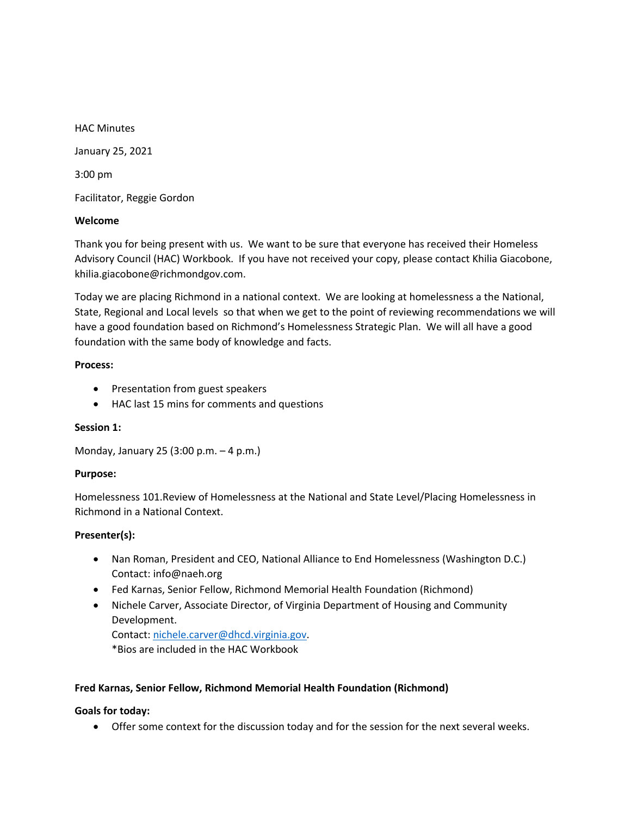HAC Minutes January 25, 2021 3:00 pm Facilitator, Reggie Gordon

### **Welcome**

Thank you for being present with us. We want to be sure that everyone has received their Homeless Advisory Council (HAC) Workbook. If you have not received your copy, please contact Khilia Giacobone, khilia.giacobone@richmondgov.com.

Today we are placing Richmond in a national context. We are looking at homelessness a the National, State, Regional and Local levels so that when we get to the point of reviewing recommendations we will have a good foundation based on Richmond's Homelessness Strategic Plan. We will all have a good foundation with the same body of knowledge and facts.

### **Process:**

- Presentation from guest speakers
- HAC last 15 mins for comments and questions

# **Session 1:**

Monday, January 25 (3:00 p.m. – 4 p.m.)

# **Purpose:**

Homelessness 101.Review of Homelessness at the National and State Level/Placing Homelessness in Richmond in a National Context.

### **Presenter(s):**

- Nan Roman, President and CEO, National Alliance to End Homelessness (Washington D.C.) Contact: info@naeh.org
- Fed Karnas, Senior Fellow, Richmond Memorial Health Foundation (Richmond)
- Nichele Carver, Associate Director, of Virginia Department of Housing and Community Development. Contact: nichele.carver@dhcd.virginia.gov.

\*Bios are included in the HAC Workbook

# **Fred Karnas, Senior Fellow, Richmond Memorial Health Foundation (Richmond)**

# **Goals for today:**

• Offer some context for the discussion today and for the session for the next several weeks.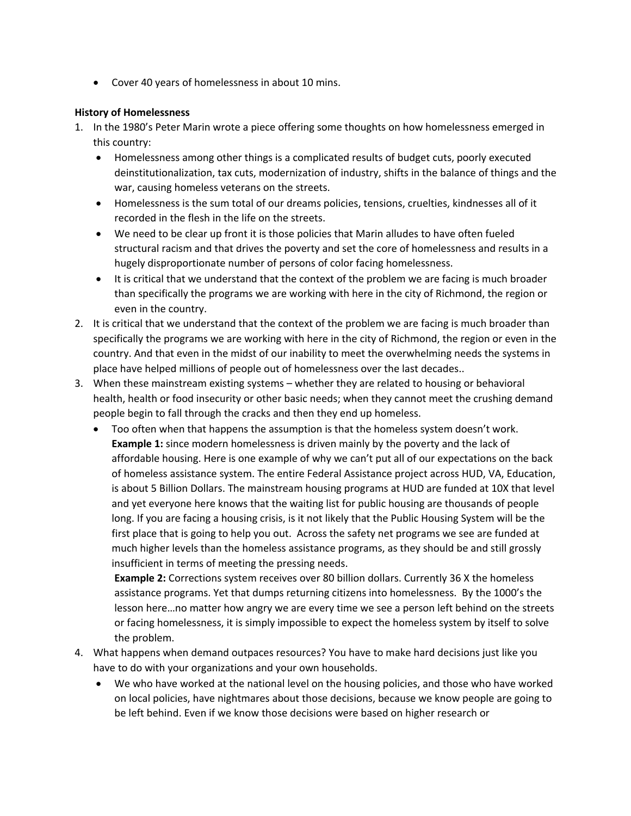• Cover 40 years of homelessness in about 10 mins.

### **History of Homelessness**

- 1. In the 1980's Peter Marin wrote a piece offering some thoughts on how homelessness emerged in this country:
	- Homelessness among other things is a complicated results of budget cuts, poorly executed deinstitutionalization, tax cuts, modernization of industry, shifts in the balance of things and the war, causing homeless veterans on the streets.
	- Homelessness is the sum total of our dreams policies, tensions, cruelties, kindnesses all of it recorded in the flesh in the life on the streets.
	- We need to be clear up front it is those policies that Marin alludes to have often fueled structural racism and that drives the poverty and set the core of homelessness and results in a hugely disproportionate number of persons of color facing homelessness.
	- It is critical that we understand that the context of the problem we are facing is much broader than specifically the programs we are working with here in the city of Richmond, the region or even in the country.
- 2. It is critical that we understand that the context of the problem we are facing is much broader than specifically the programs we are working with here in the city of Richmond, the region or even in the country. And that even in the midst of our inability to meet the overwhelming needs the systems in place have helped millions of people out of homelessness over the last decades..
- 3. When these mainstream existing systems whether they are related to housing or behavioral health, health or food insecurity or other basic needs; when they cannot meet the crushing demand people begin to fall through the cracks and then they end up homeless.
	- Too often when that happens the assumption is that the homeless system doesn't work. **Example 1:** since modern homelessness is driven mainly by the poverty and the lack of affordable housing. Here is one example of why we can't put all of our expectations on the back of homeless assistance system. The entire Federal Assistance project across HUD, VA, Education, is about 5 Billion Dollars. The mainstream housing programs at HUD are funded at 10X that level and yet everyone here knows that the waiting list for public housing are thousands of people long. If you are facing a housing crisis, is it not likely that the Public Housing System will be the first place that is going to help you out. Across the safety net programs we see are funded at much higher levels than the homeless assistance programs, as they should be and still grossly insufficient in terms of meeting the pressing needs.

**Example 2:** Corrections system receives over 80 billion dollars. Currently 36 X the homeless assistance programs. Yet that dumps returning citizens into homelessness. By the 1000's the lesson here…no matter how angry we are every time we see a person left behind on the streets or facing homelessness, it is simply impossible to expect the homeless system by itself to solve the problem.

- 4. What happens when demand outpaces resources? You have to make hard decisions just like you have to do with your organizations and your own households.
	- We who have worked at the national level on the housing policies, and those who have worked on local policies, have nightmares about those decisions, because we know people are going to be left behind. Even if we know those decisions were based on higher research or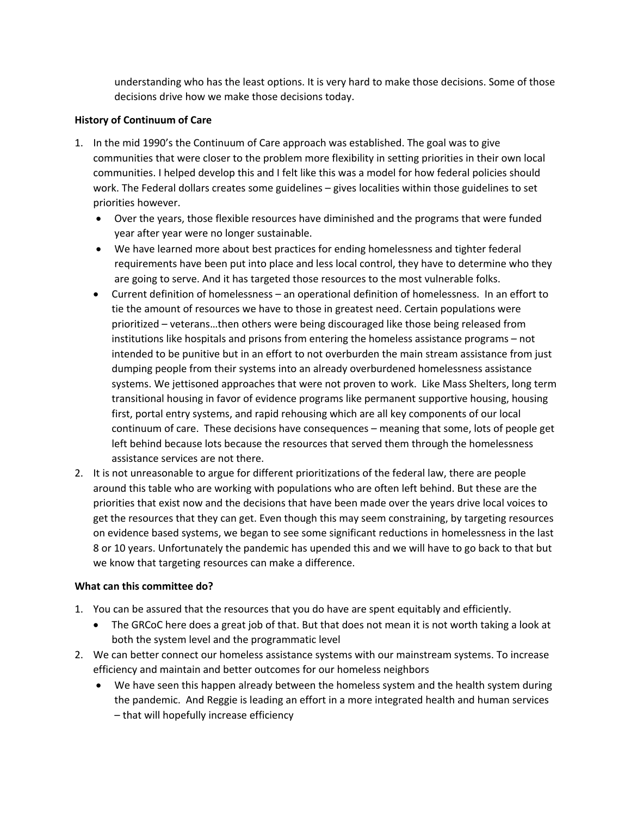understanding who has the least options. It is very hard to make those decisions. Some of those decisions drive how we make those decisions today.

### **History of Continuum of Care**

- 1. In the mid 1990's the Continuum of Care approach was established. The goal was to give communities that were closer to the problem more flexibility in setting priorities in their own local communities. I helped develop this and I felt like this was a model for how federal policies should work. The Federal dollars creates some guidelines – gives localities within those guidelines to set priorities however.
	- Over the years, those flexible resources have diminished and the programs that were funded year after year were no longer sustainable.
	- We have learned more about best practices for ending homelessness and tighter federal requirements have been put into place and less local control, they have to determine who they are going to serve. And it has targeted those resources to the most vulnerable folks.
	- Current definition of homelessness an operational definition of homelessness. In an effort to tie the amount of resources we have to those in greatest need. Certain populations were prioritized – veterans…then others were being discouraged like those being released from institutions like hospitals and prisons from entering the homeless assistance programs – not intended to be punitive but in an effort to not overburden the main stream assistance from just dumping people from their systems into an already overburdened homelessness assistance systems. We jettisoned approaches that were not proven to work. Like Mass Shelters, long term transitional housing in favor of evidence programs like permanent supportive housing, housing first, portal entry systems, and rapid rehousing which are all key components of our local continuum of care. These decisions have consequences – meaning that some, lots of people get left behind because lots because the resources that served them through the homelessness assistance services are not there.
- 2. It is not unreasonable to argue for different prioritizations of the federal law, there are people around this table who are working with populations who are often left behind. But these are the priorities that exist now and the decisions that have been made over the years drive local voices to get the resources that they can get. Even though this may seem constraining, by targeting resources on evidence based systems, we began to see some significant reductions in homelessness in the last 8 or 10 years. Unfortunately the pandemic has upended this and we will have to go back to that but we know that targeting resources can make a difference.

# **What can this committee do?**

- 1. You can be assured that the resources that you do have are spent equitably and efficiently.
	- The GRCoC here does a great job of that. But that does not mean it is not worth taking a look at both the system level and the programmatic level
- 2. We can better connect our homeless assistance systems with our mainstream systems. To increase efficiency and maintain and better outcomes for our homeless neighbors
	- We have seen this happen already between the homeless system and the health system during the pandemic. And Reggie is leading an effort in a more integrated health and human services – that will hopefully increase efficiency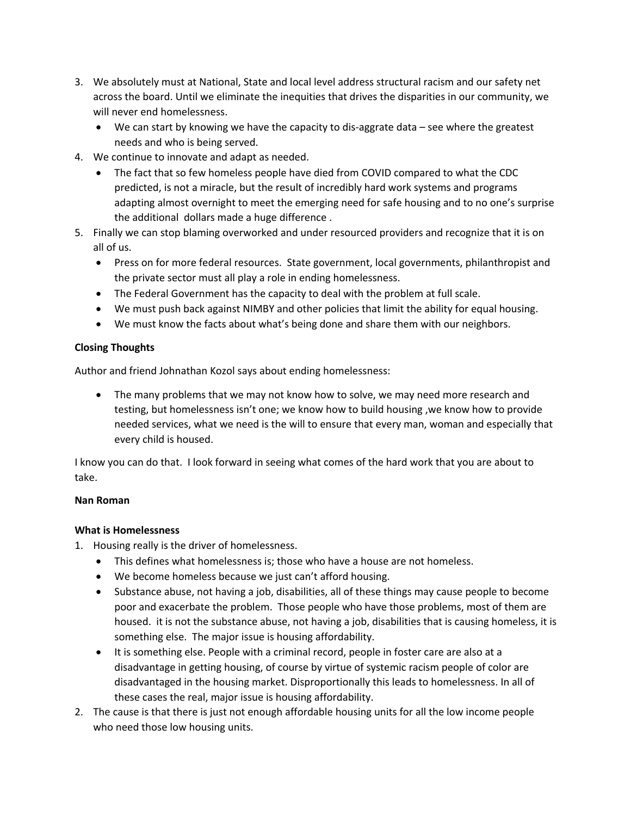- 3. We absolutely must at National, State and local level address structural racism and our safety net across the board. Until we eliminate the inequities that drives the disparities in our community, we will never end homelessness.
	- We can start by knowing we have the capacity to dis-aggrate data  $-$  see where the greatest needs and who is being served.
- 4. We continue to innovate and adapt as needed.
	- The fact that so few homeless people have died from COVID compared to what the CDC predicted, is not a miracle, but the result of incredibly hard work systems and programs adapting almost overnight to meet the emerging need for safe housing and to no one's surprise the additional dollars made a huge difference .
- 5. Finally we can stop blaming overworked and under resourced providers and recognize that it is on all of us.
	- Press on for more federal resources. State government, local governments, philanthropist and the private sector must all play a role in ending homelessness.
	- The Federal Government has the capacity to deal with the problem at full scale.
	- We must push back against NIMBY and other policies that limit the ability for equal housing.
	- We must know the facts about what's being done and share them with our neighbors.

### **Closing Thoughts**

Author and friend Johnathan Kozol says about ending homelessness:

• The many problems that we may not know how to solve, we may need more research and testing, but homelessness isn't one; we know how to build housing ,we know how to provide needed services, what we need is the will to ensure that every man, woman and especially that every child is housed.

I know you can do that. I look forward in seeing what comes of the hard work that you are about to take.

#### **Nan Roman**

### **What is Homelessness**

- 1. Housing really is the driver of homelessness.
	- This defines what homelessness is; those who have a house are not homeless.
	- We become homeless because we just can't afford housing.
	- Substance abuse, not having a job, disabilities, all of these things may cause people to become poor and exacerbate the problem. Those people who have those problems, most of them are housed. it is not the substance abuse, not having a job, disabilities that is causing homeless, it is something else. The major issue is housing affordability.
	- It is something else. People with a criminal record, people in foster care are also at a disadvantage in getting housing, of course by virtue of systemic racism people of color are disadvantaged in the housing market. Disproportionally this leads to homelessness. In all of these cases the real, major issue is housing affordability.
- 2. The cause is that there is just not enough affordable housing units for all the low income people who need those low housing units.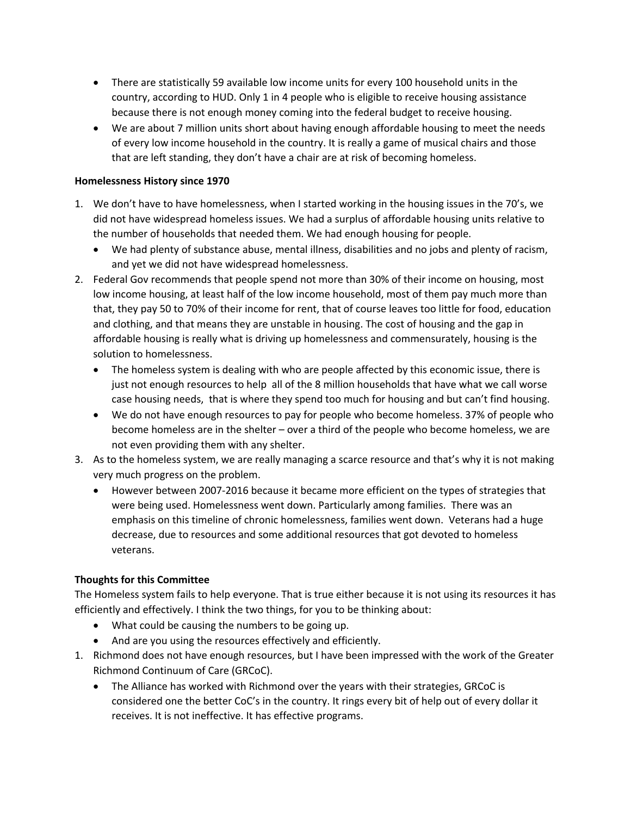- There are statistically 59 available low income units for every 100 household units in the country, according to HUD. Only 1 in 4 people who is eligible to receive housing assistance because there is not enough money coming into the federal budget to receive housing.
- We are about 7 million units short about having enough affordable housing to meet the needs of every low income household in the country. It is really a game of musical chairs and those that are left standing, they don't have a chair are at risk of becoming homeless.

### **Homelessness History since 1970**

- 1. We don't have to have homelessness, when I started working in the housing issues in the 70's, we did not have widespread homeless issues. We had a surplus of affordable housing units relative to the number of households that needed them. We had enough housing for people.
	- We had plenty of substance abuse, mental illness, disabilities and no jobs and plenty of racism, and yet we did not have widespread homelessness.
- 2. Federal Gov recommends that people spend not more than 30% of their income on housing, most low income housing, at least half of the low income household, most of them pay much more than that, they pay 50 to 70% of their income for rent, that of course leaves too little for food, education and clothing, and that means they are unstable in housing. The cost of housing and the gap in affordable housing is really what is driving up homelessness and commensurately, housing is the solution to homelessness.
	- The homeless system is dealing with who are people affected by this economic issue, there is just not enough resources to help all of the 8 million households that have what we call worse case housing needs, that is where they spend too much for housing and but can't find housing.
	- We do not have enough resources to pay for people who become homeless. 37% of people who become homeless are in the shelter – over a third of the people who become homeless, we are not even providing them with any shelter.
- 3. As to the homeless system, we are really managing a scarce resource and that's why it is not making very much progress on the problem.
	- However between 2007-2016 because it became more efficient on the types of strategies that were being used. Homelessness went down. Particularly among families. There was an emphasis on this timeline of chronic homelessness, families went down. Veterans had a huge decrease, due to resources and some additional resources that got devoted to homeless veterans.

### **Thoughts for this Committee**

The Homeless system fails to help everyone. That is true either because it is not using its resources it has efficiently and effectively. I think the two things, for you to be thinking about:

- What could be causing the numbers to be going up.
- And are you using the resources effectively and efficiently.
- 1. Richmond does not have enough resources, but I have been impressed with the work of the Greater Richmond Continuum of Care (GRCoC).
	- The Alliance has worked with Richmond over the years with their strategies, GRCoC is considered one the better CoC's in the country. It rings every bit of help out of every dollar it receives. It is not ineffective. It has effective programs.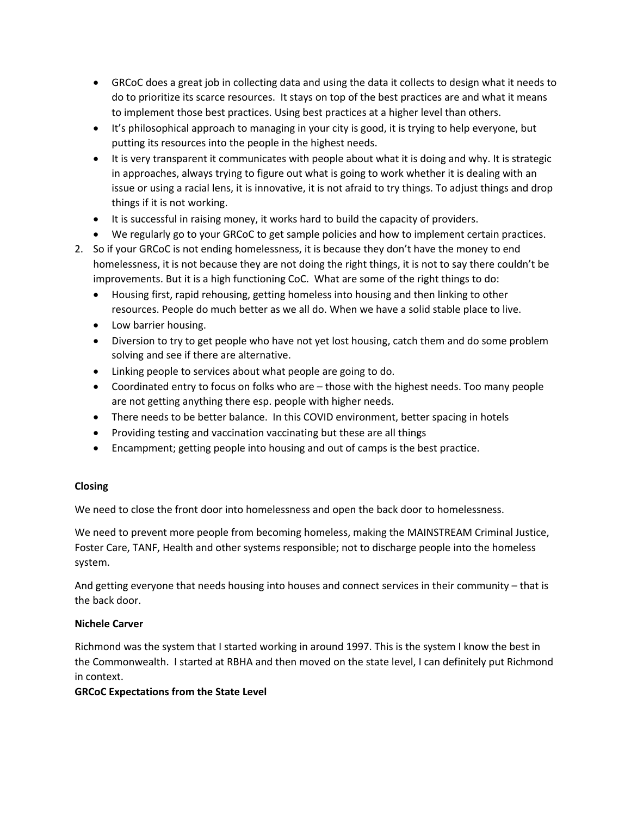- GRCoC does a great job in collecting data and using the data it collects to design what it needs to do to prioritize its scarce resources. It stays on top of the best practices are and what it means to implement those best practices. Using best practices at a higher level than others.
- It's philosophical approach to managing in your city is good, it is trying to help everyone, but putting its resources into the people in the highest needs.
- It is very transparent it communicates with people about what it is doing and why. It is strategic in approaches, always trying to figure out what is going to work whether it is dealing with an issue or using a racial lens, it is innovative, it is not afraid to try things. To adjust things and drop things if it is not working.
- It is successful in raising money, it works hard to build the capacity of providers.
- We regularly go to your GRCoC to get sample policies and how to implement certain practices.
- 2. So if your GRCoC is not ending homelessness, it is because they don't have the money to end homelessness, it is not because they are not doing the right things, it is not to say there couldn't be improvements. But it is a high functioning CoC. What are some of the right things to do:
	- Housing first, rapid rehousing, getting homeless into housing and then linking to other resources. People do much better as we all do. When we have a solid stable place to live.
	- Low barrier housing.
	- Diversion to try to get people who have not yet lost housing, catch them and do some problem solving and see if there are alternative.
	- Linking people to services about what people are going to do.
	- Coordinated entry to focus on folks who are those with the highest needs. Too many people are not getting anything there esp. people with higher needs.
	- There needs to be better balance. In this COVID environment, better spacing in hotels
	- Providing testing and vaccination vaccinating but these are all things
	- Encampment; getting people into housing and out of camps is the best practice.

# **Closing**

We need to close the front door into homelessness and open the back door to homelessness.

We need to prevent more people from becoming homeless, making the MAINSTREAM Criminal Justice, Foster Care, TANF, Health and other systems responsible; not to discharge people into the homeless system.

And getting everyone that needs housing into houses and connect services in their community – that is the back door.

# **Nichele Carver**

Richmond was the system that I started working in around 1997. This is the system I know the best in the Commonwealth. I started at RBHA and then moved on the state level, I can definitely put Richmond in context.

# **GRCoC Expectations from the State Level**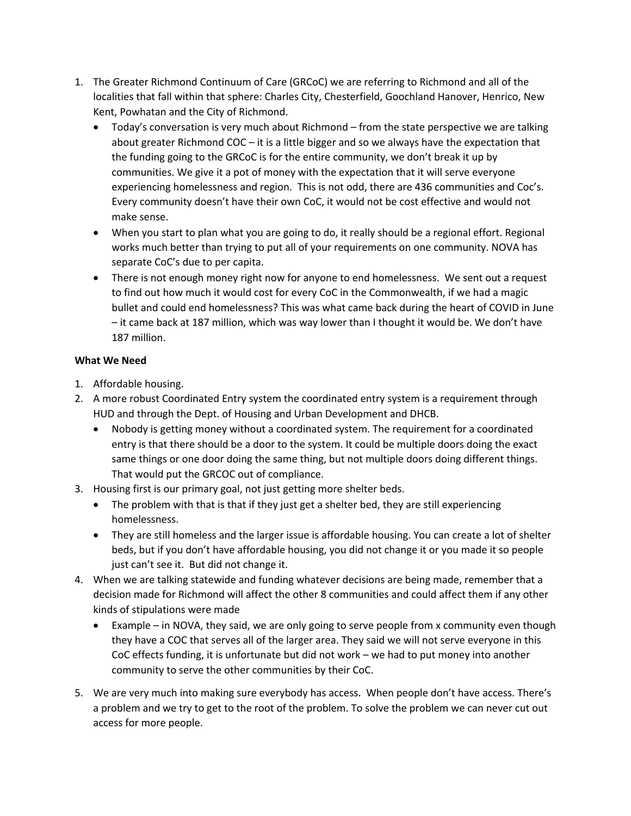- 1. The Greater Richmond Continuum of Care (GRCoC) we are referring to Richmond and all of the localities that fall within that sphere: Charles City, Chesterfield, Goochland Hanover, Henrico, New Kent, Powhatan and the City of Richmond.
	- Today's conversation is very much about Richmond from the state perspective we are talking about greater Richmond COC – it is a little bigger and so we always have the expectation that the funding going to the GRCoC is for the entire community, we don't break it up by communities. We give it a pot of money with the expectation that it will serve everyone experiencing homelessness and region. This is not odd, there are 436 communities and Coc's. Every community doesn't have their own CoC, it would not be cost effective and would not make sense.
	- When you start to plan what you are going to do, it really should be a regional effort. Regional works much better than trying to put all of your requirements on one community. NOVA has separate CoC's due to per capita.
	- There is not enough money right now for anyone to end homelessness. We sent out a request to find out how much it would cost for every CoC in the Commonwealth, if we had a magic bullet and could end homelessness? This was what came back during the heart of COVID in June – it came back at 187 million, which was way lower than I thought it would be. We don't have 187 million.

# **What We Need**

- 1. Affordable housing.
- 2. A more robust Coordinated Entry system the coordinated entry system is a requirement through HUD and through the Dept. of Housing and Urban Development and DHCB.
	- Nobody is getting money without a coordinated system. The requirement for a coordinated entry is that there should be a door to the system. It could be multiple doors doing the exact same things or one door doing the same thing, but not multiple doors doing different things. That would put the GRCOC out of compliance.
- 3. Housing first is our primary goal, not just getting more shelter beds.
	- The problem with that is that if they just get a shelter bed, they are still experiencing homelessness.
	- They are still homeless and the larger issue is affordable housing. You can create a lot of shelter beds, but if you don't have affordable housing, you did not change it or you made it so people just can't see it. But did not change it.
- 4. When we are talking statewide and funding whatever decisions are being made, remember that a decision made for Richmond will affect the other 8 communities and could affect them if any other kinds of stipulations were made
	- Example in NOVA, they said, we are only going to serve people from x community even though they have a COC that serves all of the larger area. They said we will not serve everyone in this CoC effects funding, it is unfortunate but did not work – we had to put money into another community to serve the other communities by their CoC.
- 5. We are very much into making sure everybody has access. When people don't have access. There's a problem and we try to get to the root of the problem. To solve the problem we can never cut out access for more people.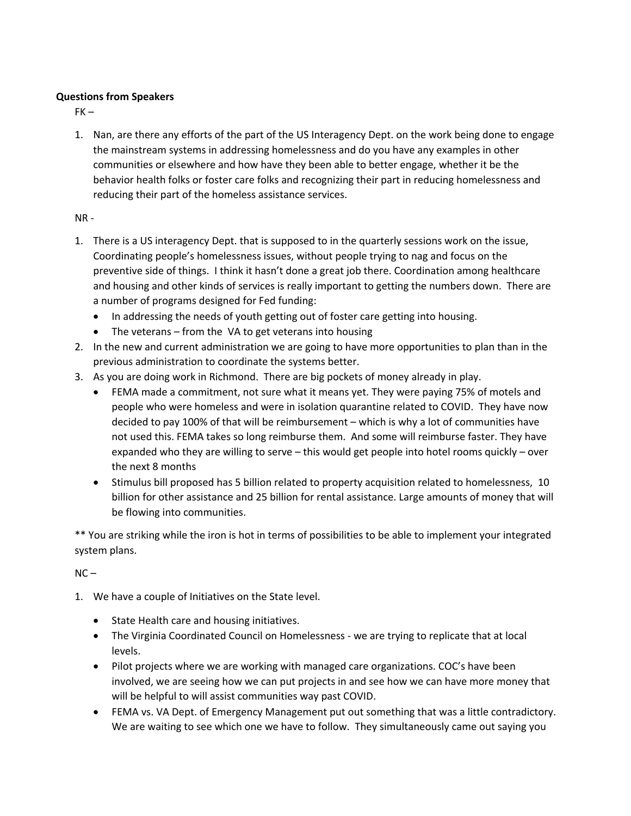### **Questions from Speakers**

 $FK -$ 

1. Nan, are there any efforts of the part of the US Interagency Dept. on the work being done to engage the mainstream systems in addressing homelessness and do you have any examples in other communities or elsewhere and how have they been able to better engage, whether it be the behavior health folks or foster care folks and recognizing their part in reducing homelessness and reducing their part of the homeless assistance services.

### NR -

- 1. There is a US interagency Dept. that is supposed to in the quarterly sessions work on the issue, Coordinating people's homelessness issues, without people trying to nag and focus on the preventive side of things. I think it hasn't done a great job there. Coordination among healthcare and housing and other kinds of services is really important to getting the numbers down. There are a number of programs designed for Fed funding:
	- In addressing the needs of youth getting out of foster care getting into housing.
	- The veterans  $-$  from the VA to get veterans into housing
- 2. In the new and current administration we are going to have more opportunities to plan than in the previous administration to coordinate the systems better.
- 3. As you are doing work in Richmond. There are big pockets of money already in play.
	- FEMA made a commitment, not sure what it means yet. They were paying 75% of motels and people who were homeless and were in isolation quarantine related to COVID. They have now decided to pay 100% of that will be reimbursement – which is why a lot of communities have not used this. FEMA takes so long reimburse them. And some will reimburse faster. They have expanded who they are willing to serve – this would get people into hotel rooms quickly – over the next 8 months
	- Stimulus bill proposed has 5 billion related to property acquisition related to homelessness, 10 billion for other assistance and 25 billion for rental assistance. Large amounts of money that will be flowing into communities.

\*\* You are striking while the iron is hot in terms of possibilities to be able to implement your integrated system plans.

 $NC -$ 

- 1. We have a couple of Initiatives on the State level.
	- State Health care and housing initiatives.
	- The Virginia Coordinated Council on Homelessness we are trying to replicate that at local levels.
	- Pilot projects where we are working with managed care organizations. COC's have been involved, we are seeing how we can put projects in and see how we can have more money that will be helpful to will assist communities way past COVID.
	- FEMA vs. VA Dept. of Emergency Management put out something that was a little contradictory. We are waiting to see which one we have to follow. They simultaneously came out saying you